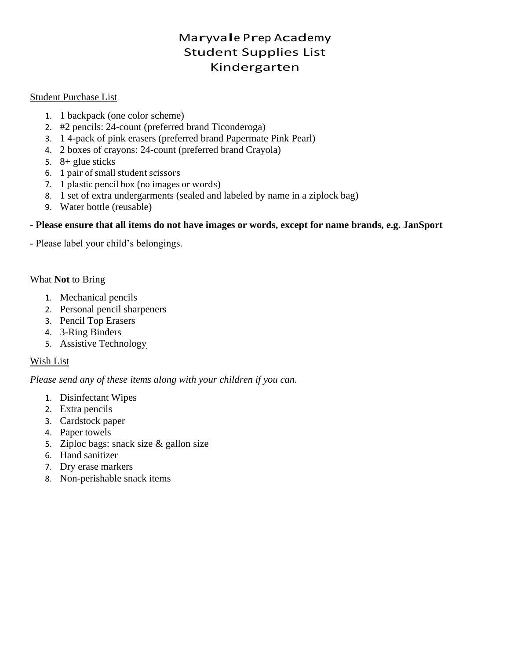## Maryvale Prep Academy Student Supplies List Kindergarten

#### Student Purchase List

- 1. 1 backpack (one color scheme)
- 2. #2 pencils: 24-count (preferred brand Ticonderoga)
- 3. 1 4-pack of pink erasers (preferred brand Papermate Pink Pearl)
- 4. 2 boxes of crayons: 24-count (preferred brand Crayola)
- 5. 8+ glue sticks
- 6. 1 pair of small student scissors
- 7. 1 plastic pencil box (no images or words)
- 8. 1 set of extra undergarments (sealed and labeled by name in a ziplock bag)
- 9. Water bottle (reusable)

#### **- Please ensure that all items do not have images or words, except for name brands, e.g. JanSport**

- Please label your child's belongings.

#### What **Not** to Bring

- 1. Mechanical pencils
- 2. Personal pencil sharpeners
- 3. Pencil Top Erasers
- 4. 3-Ring Binders
- 5. Assistive Technology

## Wish List

- 1. Disinfectant Wipes
- 2. Extra pencils
- 3. Cardstock paper
- 4. Paper towels
- 5. Ziploc bags: snack size & gallon size
- 6. Hand sanitizer
- 7. Dry erase markers
- 8. Non-perishable snack items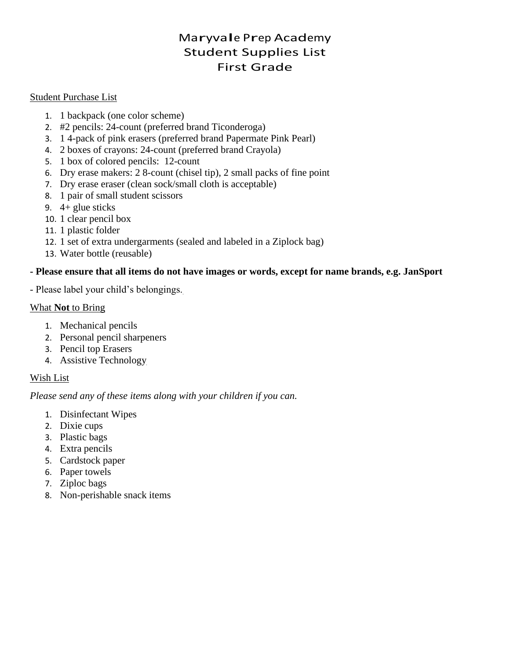## Maryvale Prep Academy Student Supplies List First Grade

### Student Purchase List

- 1. 1 backpack (one color scheme)
- 2. #2 pencils: 24-count (preferred brand Ticonderoga)
- 3. 1 4-pack of pink erasers (preferred brand Papermate Pink Pearl)
- 4. 2 boxes of crayons: 24-count (preferred brand Crayola)
- 5. 1 box of colored pencils: 12-count
- 6. Dry erase makers: 2 8-count (chisel tip), 2 small packs of fine point
- 7. Dry erase eraser (clean sock/small cloth is acceptable)
- 8. 1 pair of small student scissors
- 9. 4+ glue sticks
- 10. 1 clear pencil box
- 11. 1 plastic folder
- 12. 1 set of extra undergarments (sealed and labeled in a Ziplock bag)
- 13. Water bottle (reusable)

## **- Please ensure that all items do not have images or words, except for name brands, e.g. JanSport**

- Please label your child's belongings.

## What **Not** to Bring

- 1. Mechanical pencils
- 2. Personal pencil sharpeners
- 3. Pencil top Erasers
- 4. Assistive Technology

## Wish List

- 1. Disinfectant Wipes
- 2. Dixie cups
- 3. Plastic bags
- 4. Extra pencils
- 5. Cardstock paper
- 6. Paper towels
- 7. Ziploc bags
- 8. Non-perishable snack items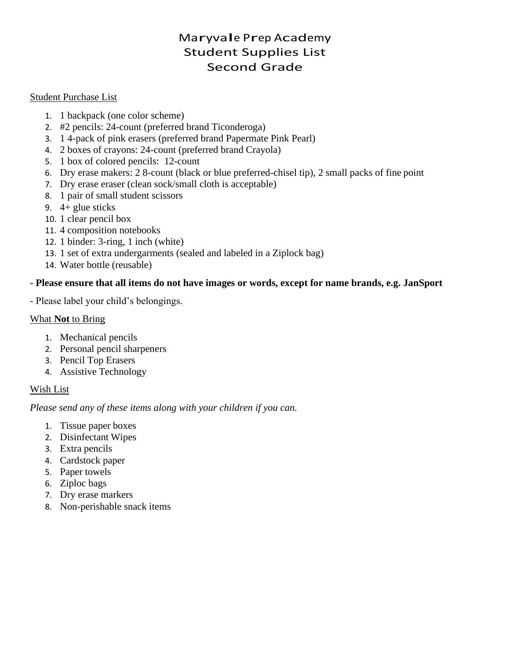## Maryvale Prep Academy Student Supplies List Second Grade

### Student Purchase List

- 1. 1 backpack (one color scheme)
- 2. #2 pencils: 24-count (preferred brand Ticonderoga)
- 3. 1 4-pack of pink erasers (preferred brand Papermate Pink Pearl)
- 4. 2 boxes of crayons: 24-count (preferred brand Crayola)
- 5. 1 box of colored pencils: 12-count
- 6. Dry erase makers: 2 8-count (black or blue preferred-chisel tip), 2 small packs of fine point
- 7. Dry erase eraser (clean sock/small cloth is acceptable)
- 8. 1 pair of small student scissors
- 9. 4+ glue sticks
- 10. 1 clear pencil box
- 11. 4 composition notebooks
- 12. 1 binder: 3-ring, 1 inch (white)
- 13. 1 set of extra undergarments (sealed and labeled in a Ziplock bag)
- 14. Water bottle (reusable)

## **- Please ensure that all items do not have images or words, except for name brands, e.g. JanSport**

- Please label your child's belongings.

## What **Not** to Bring

- 1. Mechanical pencils
- 2. Personal pencil sharpeners
- 3. Pencil Top Erasers
- 4. Assistive Technology

## Wish List

- 1. Tissue paper boxes
- 2. Disinfectant Wipes
- 3. Extra pencils
- 4. Cardstock paper
- 5. Paper towels
- 6. Ziploc bags
- 7. Dry erase markers
- 8. Non-perishable snack items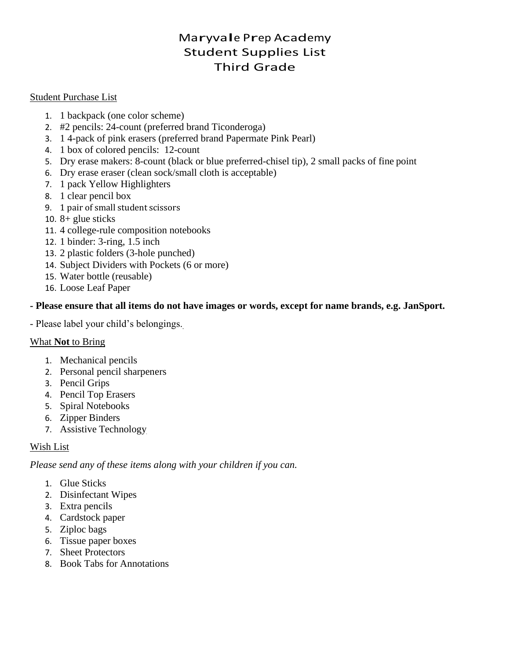## Maryvale Prep Academy Student Supplies List Third Grade

### Student Purchase List

- 1. 1 backpack (one color scheme)
- 2. #2 pencils: 24-count (preferred brand Ticonderoga)
- 3. 1 4-pack of pink erasers (preferred brand Papermate Pink Pearl)
- 4. 1 box of colored pencils: 12-count
- 5. Dry erase makers: 8-count (black or blue preferred-chisel tip), 2 small packs of fine point
- 6. Dry erase eraser (clean sock/small cloth is acceptable)
- 7. 1 pack Yellow Highlighters
- 8. 1 clear pencil box
- 9. 1 pair of small student scissors
- 10.  $8 +$  glue sticks
- 11. 4 college-rule composition notebooks
- 12. 1 binder: 3-ring, 1.5 inch
- 13. 2 plastic folders (3-hole punched)
- 14. Subject Dividers with Pockets (6 or more)
- 15. Water bottle (reusable)
- 16. Loose Leaf Paper

## **- Please ensure that all items do not have images or words, except for name brands, e.g. JanSport.**

- Please label your child's belongings.

## What **Not** to Bring

- 1. Mechanical pencils
- 2. Personal pencil sharpeners
- 3. Pencil Grips
- 4. Pencil Top Erasers
- 5. Spiral Notebooks
- 6. Zipper Binders
- 7. Assistive Technology

## Wish List

- 1. Glue Sticks
- 2. Disinfectant Wipes
- 3. Extra pencils
- 4. Cardstock paper
- 5. Ziploc bags
- 6. Tissue paper boxes
- 7. Sheet Protectors
- 8. Book Tabs for Annotations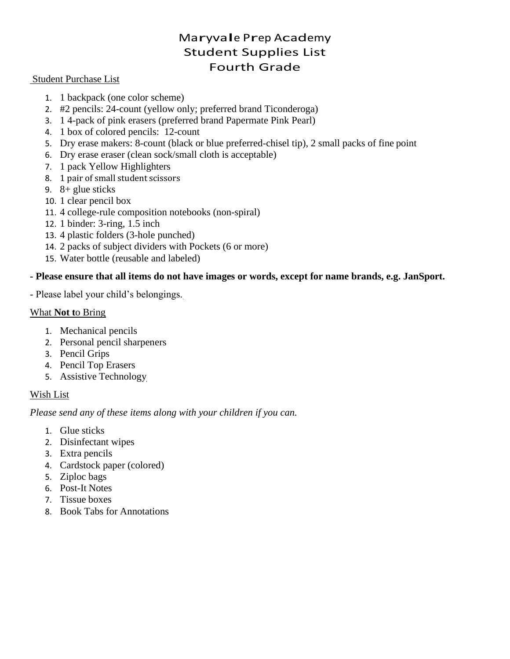## Maryvale Prep Academy Student Supplies List Fourth Grade

#### Student Purchase List

- 1. 1 backpack (one color scheme)
- 2. #2 pencils: 24-count (yellow only; preferred brand Ticonderoga)
- 3. 1 4-pack of pink erasers (preferred brand Papermate Pink Pearl)
- 4. 1 box of colored pencils: 12-count
- 5. Dry erase makers: 8-count (black or blue preferred-chisel tip), 2 small packs of fine point
- 6. Dry erase eraser (clean sock/small cloth is acceptable)
- 7. 1 pack Yellow Highlighters
- 8. 1 pair of small student scissors
- 9. 8+ glue sticks
- 10. 1 clear pencil box
- 11. 4 college-rule composition notebooks (non-spiral)
- 12. 1 binder: 3-ring, 1.5 inch
- 13. 4 plastic folders (3-hole punched)
- 14. 2 packs of subject dividers with Pockets (6 or more)
- 15. Water bottle (reusable and labeled)

#### **- Please ensure that all items do not have images or words, except for name brands, e.g. JanSport.**

- Please label your child's belongings.

#### What **Not t**o Bring

- 1. Mechanical pencils
- 2. Personal pencil sharpeners
- 3. Pencil Grips
- 4. Pencil Top Erasers
- 5. Assistive Technology

## Wish List

- 1. Glue sticks
- 2. Disinfectant wipes
- 3. Extra pencils
- 4. Cardstock paper (colored)
- 5. Ziploc bags
- 6. Post-It Notes
- 7. Tissue boxes
- 8. Book Tabs for Annotations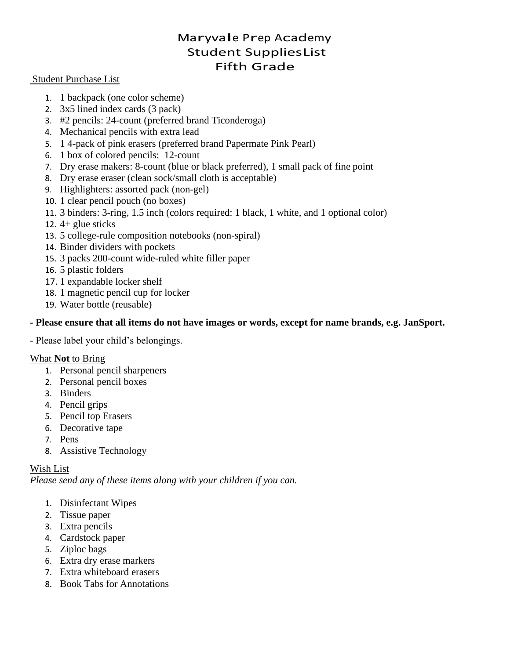## Maryvale Prep Academy Student SuppliesList Fifth Grade

#### Student Purchase List

- 1. 1 backpack (one color scheme)
- 2. 3x5 lined index cards (3 pack)
- 3. #2 pencils: 24-count (preferred brand Ticonderoga)
- 4. Mechanical pencils with extra lead
- 5. 1 4-pack of pink erasers (preferred brand Papermate Pink Pearl)
- 6. 1 box of colored pencils: 12-count
- 7. Dry erase makers: 8-count (blue or black preferred), 1 small pack of fine point
- 8. Dry erase eraser (clean sock/small cloth is acceptable)
- 9. Highlighters: assorted pack (non-gel)
- 10. 1 clear pencil pouch (no boxes)
- 11. 3 binders: 3-ring, 1.5 inch (colors required: 1 black, 1 white, and 1 optional color)
- 12.  $4+$  glue sticks
- 13. 5 college-rule composition notebooks (non-spiral)
- 14. Binder dividers with pockets
- 15. 3 packs 200-count wide-ruled white filler paper
- 16. 5 plastic folders
- 17. 1 expandable locker shelf
- 18. 1 magnetic pencil cup for locker
- 19. Water bottle (reusable)

## **- Please ensure that all items do not have images or words, except for name brands, e.g. JanSport.**

- Please label your child's belongings.

## What **Not** to Bring

- 1. Personal pencil sharpeners
- 2. Personal pencil boxes
- 3. Binders
- 4. Pencil grips
- 5. Pencil top Erasers
- 6. Decorative tape
- 7. Pens
- 8. Assistive Technology

## Wish List

- 1. Disinfectant Wipes
- 2. Tissue paper
- 3. Extra pencils
- 4. Cardstock paper
- 5. Ziploc bags
- 6. Extra dry erase markers
- 7. Extra whiteboard erasers
- 8. Book Tabs for Annotations